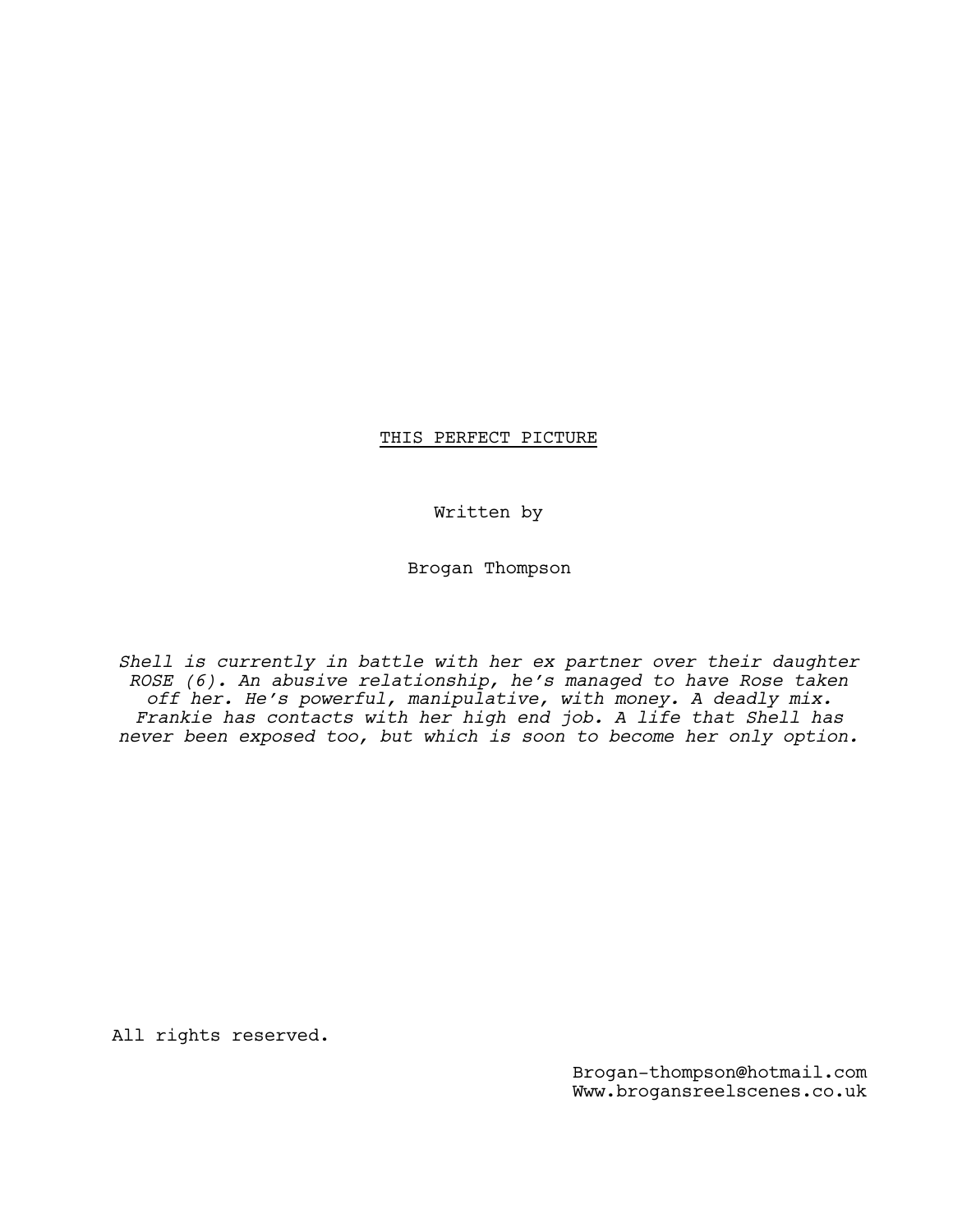# THIS PERFECT PICTURE

Written by

Brogan Thompson

*Shell is currently in battle with her ex partner over their daughter ROSE (6). An abusive relationship, he's managed to have Rose taken off her. He's powerful, manipulative, with money. A deadly mix. Frankie has contacts with her high end job. A life that Shell has never been exposed too, but which is soon to become her only option.*

All rights reserved.

Brogan-thompson@hotmail.com Www.brogansreelscenes.co.uk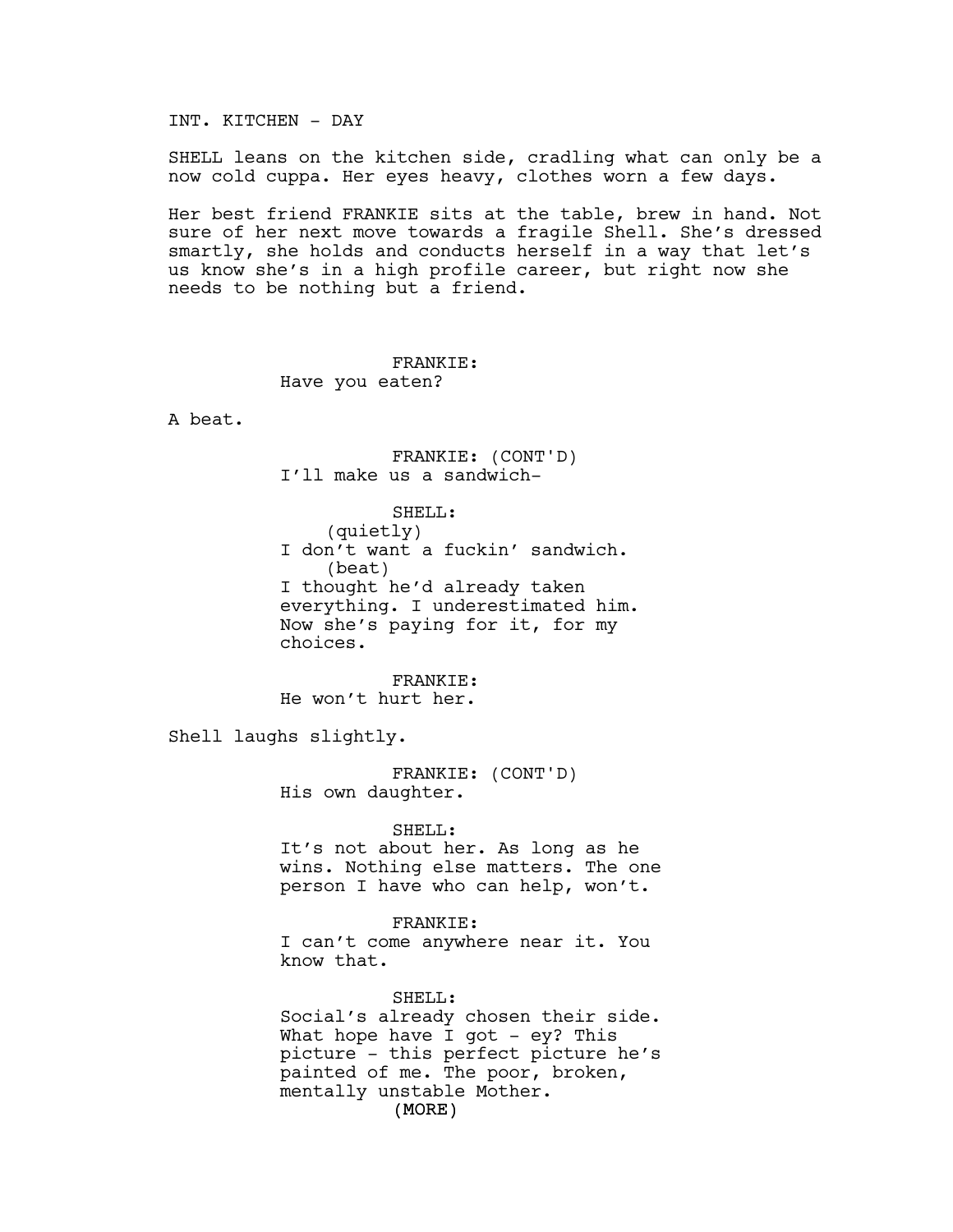INT. KITCHEN - DAY

SHELL leans on the kitchen side, cradling what can only be a now cold cuppa. Her eyes heavy, clothes worn a few days.

Her best friend FRANKIE sits at the table, brew in hand. Not sure of her next move towards a fragile Shell. She's dressed smartly, she holds and conducts herself in a way that let's us know she's in a high profile career, but right now she needs to be nothing but a friend.

> FRANKIE: Have you eaten?

A beat.

FRANKIE: (CONT'D) I'll make us a sandwich-

SHELL:

(quietly) I don't want a fuckin' sandwich. (beat) I thought he'd already taken everything. I underestimated him. Now she's paying for it, for my choices.

FRANKIE: He won't hurt her.

Shell laughs slightly.

FRANKIE: (CONT'D) His own daughter.

SHELL:

It's not about her. As long as he wins. Nothing else matters. The one person I have who can help, won't.

FRANKIE: I can't come anywhere near it. You know that.

(MORE) SHELL: Social's already chosen their side. What hope have I got  $-$  ey? This picture - this perfect picture he's painted of me. The poor, broken, mentally unstable Mother.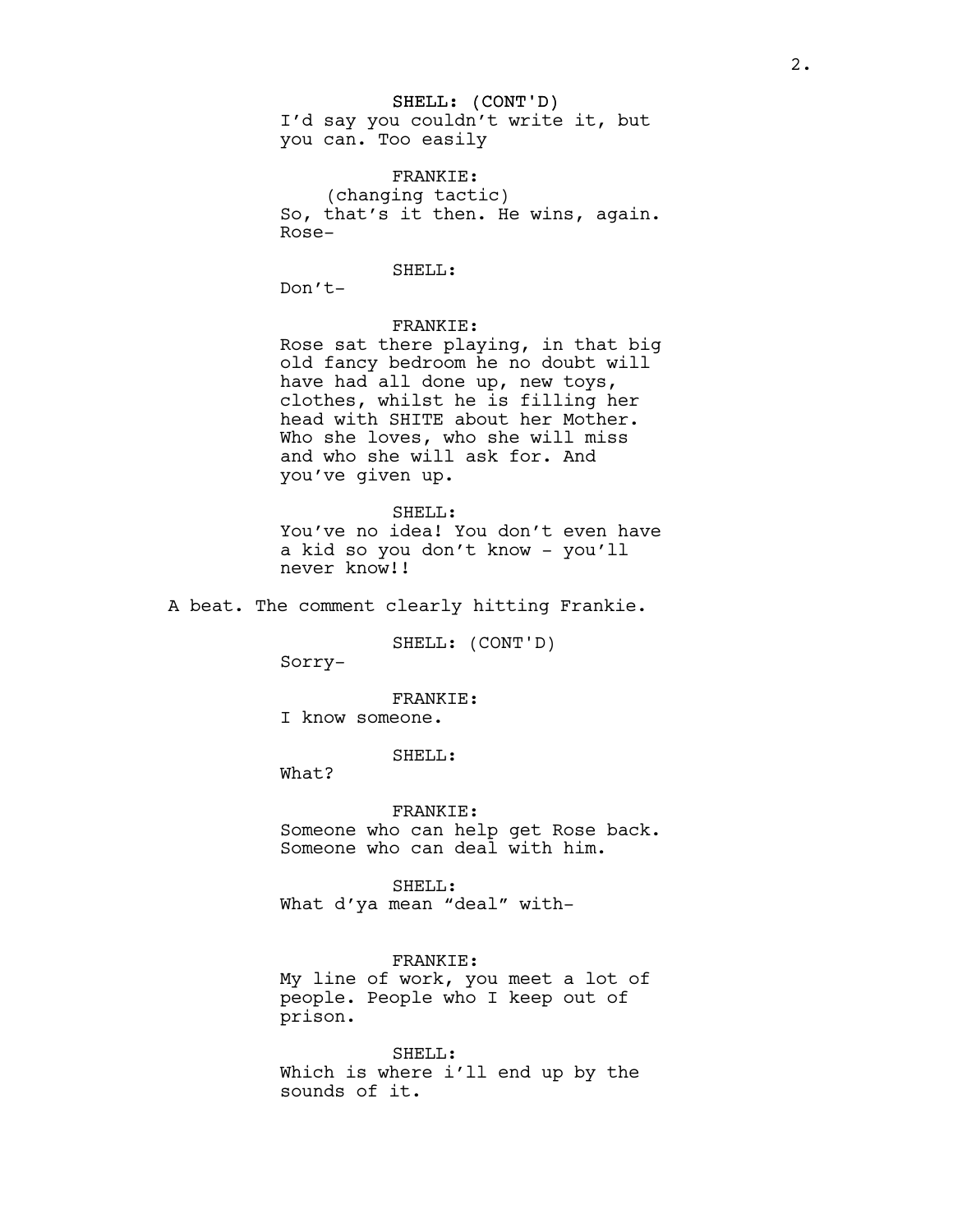#### SHELL: (CONT'D)

I'd say you couldn't write it, but you can. Too easily

FRANKIE: (changing tactic) So, that's it then. He wins, again. Rose-

### SHELL:

Don't-

## FRANKIE:

Rose sat there playing, in that big old fancy bedroom he no doubt will have had all done up, new toys, clothes, whilst he is filling her head with SHITE about her Mother. Who she loves, who she will miss and who she will ask for. And you've given up.

SHELL: You've no idea! You don't even have a kid so you don't know - you'll never know!!

A beat. The comment clearly hitting Frankie.

SHELL: (CONT'D)

Sorry-

### FRANKIE:

I know someone.

SHELL:

What?

FRANKIE: Someone who can help get Rose back. Someone who can deal with him.

SHELL: What d'ya mean "deal" with-

FRANKIE: My line of work, you meet a lot of people. People who I keep out of prison.

SHELL: Which is where i'll end up by the sounds of it.